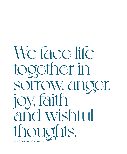# We face life together in sorrow, anger, joy, faith and wishful thoughts. **FO GONZALES**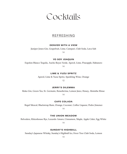## Cocktails

#### REFRESHING

#### DENVER WITH A VIEW

Juniper Jones Gin, Grapefruit, Lime, Campari, Club Soda, Lava Salt

14

YO SOY JOAQUIN

Espolon Blanco Tequila, Ancho Reyes Verde, Aperol, Lime, Pineapple, Habanero

14

#### LIME & YUZU SPRITZ

Aperol, Lime & Yuzu Spritz, Sparkling Wine, Orange

12

#### JERRY'S DILEMMA

Roku Gin, Green Tea, St. Germain, Benedictine, Lemon Juice, Honey, Absinthe Rinse

14

#### CAFE COLADA

Ilegal Mezcal, Blackstrap Rum, Orange, Coconut, Coffee Liqueur, Pedro Jimenez

14

#### THE UNION MEADOW

Belvedere, Rittenhouse Rye, Luxardo Amaro, Cinnamon, Maple, Apple Cider, Egg White

14

#### SUNDAY'S HIGHBALL

Sunday's Japanese Whisky, Sunday's Highball Ice, Fever Tree Club Soda, Lemon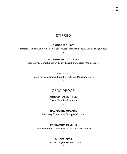### **STIRRED**

#### RAINBOW CURVE

Hendrick's Lunar Gin, Crème de Violette, Alvear Pale Cream Sherry, Breckenridge Bitters

14

#### MIDNIGHT AT THE CREEK

Basil Hayden Dark Rye, Honey-Roasted Hazelnut, Chicory, Orange Bitters

15

#### HEY MAMA

Hamilton Rum, Jameson Black Barrel, Spiced Demerara, Bitters

14

### ZERO PROOF

#### ARNOLD PALMER FIZZ

Teakoe Black Tea, Lemonade

5

#### RASPBERRY COLADA

Raspberry Shrub, Lime, Pineapple, Coconut

7

#### CARDAMOM COLLINS

Cardamom Bitters, Cardamom Syrup, Club Soda, Orange

5

#### GINGER BEER

Fever Tree Ginger Beer, Fresh Lime

5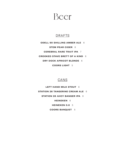## Beer

### DRAFTS

ODELL 90 SHILLING AMBER ALE 6 STEM PEAR CIDER 6 CEREBRAL RARE TRAIT IPA 7 CROOKED STAVE BRETT OF A KIND 6 DRY DOCK APRICOT BLONDE 6 COORS LIGHT 5

### CANS

- LEFT HAND MILK STOUT 6 STATION 26 TANGERINE CREAM ALE 6 STATION 26 JUICY BANGER IPA 6 HEINEKEN 6 HEINEKEN 0.0 5
	- COORS BANQUET 5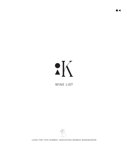

WINE LIST



LOOK FOR THIS SYMBOL INDICATING WOMEN WINEMAKERS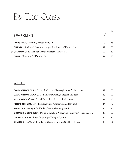## By The Glass

| SPARKLING                                                       |    |     |
|-----------------------------------------------------------------|----|-----|
| <b>PROSECCO, Bervini, Veneto, Italy, NV</b>                     | 9  | 45  |
| <b>CRÉMANT, Gérard Bertrand, Languedoc, South of France, NV</b> | 12 | 60  |
| CHAMPAGNE, Henriot "Brut Souverain", France NV                  | 22 | 110 |
| <b>BRUT, Chandon, California, NV</b>                            | 14 | 70  |

### **WHITE**

| <b>SAUVIGNON BLANC, Hay Maker, Marlborough, New Zealand, 2020</b>             | 12 | 60 |
|-------------------------------------------------------------------------------|----|----|
| <b>SAUVIGNON BLANC, Domaine du Carrou, Sancerre, FR, 2019</b>                 | 18 | 90 |
| <b>ALBARIÑO, Chaves Castel Forno, Rías Baixas, Spain, 2019</b>                | 14 | 70 |
| <b>PINOT GRIGIO, Livio Felluga, Friuli-Venezia Giulia, Italy, 2018</b>        | 14 | 70 |
| RIESLING, Weingut Dr. Fischer, Mosel, Germany, 2018                           | 16 | 80 |
| <b>GRÜNER VELTLINER, Domäne Wachau, "Federspiel Terrassen", Austria, 2019</b> | 12 | 60 |
| <b>CHARDONNAY</b> , Stags' Leap, Napa Valley, CA, 2019                        | 16 | 80 |
| <b>CHARDONNAY, William Fevre Champs Royaux, Chablis, FR, 2018</b>             | 19 | 95 |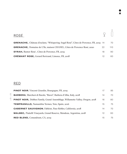$\tilde{\blacktriangle}$ 

| <b>GRENACHE,</b> Château d'esclans, "Whispering Angel Rosé", Côtes de Provence, FR, 2019 14 |    | 70  |
|---------------------------------------------------------------------------------------------|----|-----|
| <b>GRENACHE, Domaine de L'Ile, maison CHANEL, Côtes de Provence Rosé, 2020</b>              | 22 | 110 |
| <b>SYRAH, Rumor Rosé, Côtes de Provence, FR, 2019</b>                                       | 18 | 90  |
| <b>CRÉMANT ROSE, Gerard Bertrand, Limoux, FR, 2018</b>                                      | 12 | 60  |

### RED

ROSÉ

| <b>PINOT NOIR, Vincent Girardin, Bourgogne, FR, 2019</b>                     |    | 85 |
|------------------------------------------------------------------------------|----|----|
| BARBERA, Marchesi di Barolo, "Ruvei", Barbera d'Alba, Italy, 2018            | 14 | 70 |
| PINOT NOIR, Dobbes Family, Grand Assemblage, Willamette Valley, Oregon, 2018 | 16 | 80 |
| <b>TEMPRANILLO, Numanthia Termes, Toto, Spain, 2016</b>                      | 15 | 75 |
| <b>CABERNET SAUVIGNON, Fableist, Paso Robles, California, 2018</b>           | 14 | 70 |
| <b>MALBEC,</b> Piattelli Vineyards, Grand Reserve, Mendoza, Argentina, 2018  | 12 | 60 |
| RED BLEND, Conundrum, CA, 2019                                               | 15 | 75 |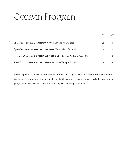## Coravin Program

|                                                                         |     | $\bigcup_{5 \text{ oz } \downarrow}$ 2.5 oz |
|-------------------------------------------------------------------------|-----|---------------------------------------------|
| Château Montelena, CHARDONNAY, Napa Valley, CA, 2018                    | 32  | 16                                          |
| Opus One, <b>BORDEAUX RED BLEND</b> , Napa Valley, CA, 2018             | 108 | 54                                          |
| Overture Opus One, <b>BORDEAUX RED BLEND</b> , Napa Valley, CA, 2018/19 | 64  | 32                                          |
| Silver Oak, CABERNET SAUVIGNON, Napa Valley, CA, 2016                   | 58  | 29                                          |

We are happy to introduce an exclusive list of wines by the glass using the Coravin Wine Preservation System which allows you to pour wine from a bottle without removing the cork. Whether you want a glass, or more, your last glass will always taste just as amazing as your first.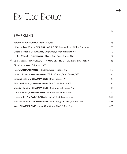| SPARKLING                                                            |     |
|----------------------------------------------------------------------|-----|
| Bervini, PROSECCO, Veneto, Italy, NV                                 | 45  |
| J Vineyards & Winery, SPARKLING ROSÉ, Russian River Valley, CA, 2019 | 75  |
| Gérard Bertrand, CRÉMANT, Languedoc, South of France, NV             | 60  |
| Lucien Albrecht, CRÉMANT, Alsace, Brut Rosé, France, NV              | 72  |
| Ca' del Bosco, FRANCIACORTA CUVEE PRESTIGE, Extra Brut, Italy, NV    | 85  |
| Chandon, BRUT, California, NV                                        | 70  |
| Henriot, <b>CHAMPAGNE</b> , "Brut Souverain", France NV              | 110 |
| Veuve Clicquot, <b>CHAMPAGNE</b> , "Yellow Label", Brut, France, NV  | 125 |
| Billecart-Salmon, CHAMPAGNE, Brut, France, NV                        | 125 |
| Billecart-Salmon, <b>CHAMPAGNE</b> , Brut Rosé, France, NV           | 195 |
| Moët & Chandon, CHAMPAGNE, Brut Impérial, France NV                  | 145 |
| Louis Roederer, <b>CHAMPAGNE</b> , Brut Nature, France, 2012         | 180 |
| Pomerry, CHAMPAGNE, "Cuvée Louise" Brut, France, 2004                | 385 |
| Moët & Chandon, CHAMPAGNE, "Dom Pérignon" Brut, France, 2010         | 423 |
| Krug, CHAMPAGNE, Grand Cru "Grand Cuvée" Brut, NV                    | 425 |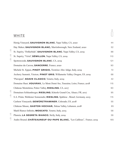|               | WHITE                                                                     |     |
|---------------|---------------------------------------------------------------------------|-----|
|               | Honig Vineyard, SAUVIGNON BLANC, Napa Valley, CA, 2020                    | 44  |
|               | Hay Maker, SAUVIGNON BLANC, Martinborough, New Zealand, 2020              | 52  |
| ŷ             | St. Supéry, "Dollarhide", SAUVIGNON BLANC, Napa Valley, CA, 2019          | 88  |
| $\mathcal{D}$ | St. Supéry, "Virtú", SÉMILLON, Napa Valley, CA, 2019                      | 110 |
| ÿ             | Spottswoode, SAUVIGNON BLANC, CA, 2019                                    | 121 |
|               | Domaine du Carrou, SANCERRE, France, 2020                                 | 90  |
|               | Michele St. Eppan, <b>PINOT GRIGIO</b> , Trentino-Alto Adige, Italy, 2019 | 72  |
|               | Archery Summit, Vireton, PINOT GRIS, Willamette Valley, Oregon, US, 2019  | 68  |
|               | "Pieropan", SOAVE CLASICO, Veneto, Italy, 2019                            | 42  |
|               | Domaine Huet, VOUVRAY, Le Mont Demi-Sec, Touraine, Loire, France, 2018    | 115 |
|               | Château Montelena, Potter Valley, RIESLING, CA, 2017                      | 90  |
| ÿ             | Domaines Schlumberger, RIESLING, Kitterle Grand Cru, Alsace, FR, 2017     | 95  |
|               | S.A. Prüm, Wehlener Sonnenuhr, RIESLING, Spätlese, Mosel, Germany, 2015   | 115 |
|               | Carlson Vineyards, GEWÜRZTRAMINER, Colorado, US, 2018                     | 55  |
|               | Château Musar, GASTON HOCHAR, Bekaa Valley, Lebanon, 2018                 | 65  |
|               | Maeli Bianco Infinito, MOSCATO, Veneto, Italy, 2015                       | 58  |
| ÿ             | Planeta, LA SEGRETA BIANCO, Sicily, Italy, 2019                           | 39  |
|               | Andre Brunel, CHÂTEAUNEUF-DU-PAPE BLANC, "Les Cailloux", France, 2019     | 165 |
|               |                                                                           |     |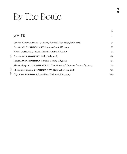|   | WHITE                                                                            |     |
|---|----------------------------------------------------------------------------------|-----|
|   | Cantina Kaltern, <b>CHARDONNAY</b> , Südtirol, Alto Adige, Italy, 2018           | 82  |
|   | Patz & Hall, <b>CHARDONNAY</b> , Sonoma Coast, CA, 2019                          | 85  |
|   | Flowers, <b>CHARDONNAY</b> , Sonoma County, CA, 2017                             | 95  |
| € | Planeta, CHARDONNAY, Sicily, Italy, 2018                                         | 120 |
|   | Hanzell, <b>CHARDONNAY</b> , Sonoma County, CA, 2015                             | 155 |
|   | Kistler Vineyards, <b>CHARDONNAY</b> , "Les Noisetiers", Sonoma County, CA, 2019 | 158 |
|   | Château Montelena, CHARDONNAY, Napa Valley, CA, 2018                             | 158 |
|   | Gaja, CHARDONNAY, Rossj-Bass, Piedmont, Italy, 2019                              | 295 |

 $\overline{\mathbf{Y}}$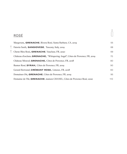|    | ROSĖ                                                                                 |     |
|----|--------------------------------------------------------------------------------------|-----|
|    | Margerum, GRENACHE, Rivera Rosé, Santa Barbara, CA, 2019                             | 55  |
| b. | Fatoria Sardi, SANGIOVESE, Tuscany, Italy, 2019                                      | 68  |
|    | Chene Bleu Rosé, GRENACHE, Vaucluse, FR, 2020                                        | 69  |
|    | Château d'esclans, <b>GRENACHE</b> , "Whispering Angel", Côtes de Provence, FR, 2019 | 70  |
|    | Château Miraval, GRENACHE, Côtes de Provence, FR, 2018                               | 80  |
|    | Rumor Rosé, <b>SYRAH</b> , Côtes de Provence, FR, 2019                               | 90  |
|    | Gerard Bertrand, CRÉMANT ROSE, Limoux, FR, 2018                                      | 60  |
|    | Domaines Ott, GRENACHE, Côtes de Provence, FR, 2019                                  | 95  |
|    | Domaine de l'Ile, GRENACHE, maison CHANEL, Côtes de Provence Rosé, 2020              | 110 |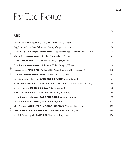|                | <u>RED</u>                                                                   |     |
|----------------|------------------------------------------------------------------------------|-----|
|                | Landmark Vineyards, PINOT NOIR, "Overlook", CA, 2017                         | 45  |
|                | Argyle, PINOT NOIR, Willamette Valley, Oregon, US, 2019                      | 64  |
|                | Domaines Schlumberger, PINOT NOIR, Les Princes Abbés, Alsace, France, 2016   | 73  |
| ŷ              | Martin Ray, PINOT NOIR, Russian River Valley, US, 2020                       | 75  |
|                | Siduri, PINOT NOIR, Willamette Valley, Oregon, US, 2019                      | 77  |
|                | True Story, PINOT NOIR, Willamette Valley, Oregon, US, 2015                  | 115 |
| ŷ              | Tesselaarsdal, PINOT NOIR, Hemel En Aarde Ridge, South Africa, 2018          | 155 |
| $\mathbb{R}^2$ | Darioush, PINOT NOIR, Russian River Valley, US, 2017                         | 193 |
|                | Infinite Monkey Theorem, CABERNET FRANC, Colorado, 2018                      | 77  |
|                | Fowles Wine, SHIRAZ, Ladies Who Shoot Their Lunch, Victoria, Australia, 2015 | 95  |
|                | Joseph Drouhin, CÔTE DE BEAUNE, France, 2018                                 | 95  |
|                | Pio Cesare, DOLCETTO D'ALBA, Piedmont, Italy, 2019                           | 79  |
|                | Produttori del Barbaresco, BARBARESCO, Piedmont, Italy, 2017                 | 120 |
|                | Giovanni Rosso, <b>BAROLO</b> , Piedmont, Italy, 2016                        | 123 |
|                | Villa Antinori, CHIANTI CLASSICO RISERVA, Tuscany, Italy, 2017               | 123 |
|                | Castello Dei Rampolla, CHIANTI CLASSICO, Tuscany, Italy, 2018                | 155 |
|                | Feudi di San Gregorio, TAURASI, Campania, Italy, 2013                        | 134 |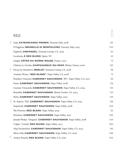| <b>RED</b>                                                         |     |
|--------------------------------------------------------------------|-----|
| Gaja, CA'MARCANDA PROMIS, Tuscany Italy, 2018                      | 155 |
| Il Poggione, <b>BRUNELLO DI MONTALCINO</b> , Tuscany, Italy, 2015  | 233 |
| Seghesio, ZINFANDEL, Sonoma County, CA, 2019                       | 64  |
| Locations, E RED BLEND, Spain, NV                                  | 45  |
| Guigal, CÔTES DU RHÔNE ROUGE, France, 2017                         | 72  |
| Château La Nerthe, CHÂTEAUNEUF-DU-PAPE, Rhône, France, 2016        | 195 |
| Decoy by Duckhorn, MERLOT, Sonoma County, CA, 2018                 | 68  |
| Acumen Wines, "RED BLEND", Napa Valley, CA, 2018                   | 72  |
| Beaulieu Vineyard, CABERNET SAUVIGNON, "BV", Napa Valley, CA, 2017 | 89  |
| Faust, CABERNET SAUVIGNON, Napa Valley, 2018                       | 129 |
| Caymus Vineyards, CABERNET SAUVIGNON, Napa Valley, CA, 2019        | 155 |
| Brandlin, CABERNET SAUVIGNON, Mount Veeder, CA, 2014               | 135 |
| Heitz, CABERNET SAUVIGNON, Napa Valley, 2015                       | 165 |
| St. Supéry, "Élu", CABERNET SAUVIGNON, Napa Valley, CA, 2015       | 199 |
| Napanook, CABERNET SAUVIGNON, Napa Valley, 2018                    | 205 |
| The Prisoner, RED BLEND, Napa Valley, 2019                         | 85  |
| Dominus, CABERNET SAUVIGNON, Napa Valley, 2017                     | 395 |
| Joseph Phelps, "Insignia", CABERNET SAUVIGNON, Napa Valley, 2018   | 425 |
| Colgin, "Cariad", RED BLEND, Napa Valley, 2017                     | 895 |
| 1849 Declaration, CABERNET SAUVIGNON, Napa Valley, CA, 2014        | 195 |
| Silver Oak, CABERNET SAUVIGNON, Napa Valley, CA, 2016              | 269 |
| Amuse Bouche, RED BLEND, Napa Valley, CA, 2016                     | 545 |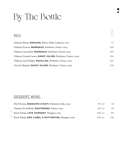| <b>RED</b>                                                    |     |
|---------------------------------------------------------------|-----|
| Château Musar, <b>HOCHAR</b> , Bekaa Valley, Lebanon, 2017    | 77  |
| Château Kirwan, MARGAUX, Bordeaux, France, 2015               | 259 |
| Château Lascombes, MARGAUX, Bordeaux, France, 2017            | 345 |
| Château Gruaud Larose, SAINT JULIEN, Bordeaux, France, 2005   | 434 |
| Château Lynch-Bages, PAUILLAC, Bordeaux, France, 2017         | 425 |
| Clos du Marquis, <b>SAINT JULIEN</b> , Bordeaux, France, 2005 | 279 |

### DESSERT WINE

| Elio Perrone, <b>MOSCATO D'ASTI</b> , Piedmont, Italy, 2019 | 375 ml   | 34  |
|-------------------------------------------------------------|----------|-----|
| Château De Rolland, SAUTERNES, France, 2015                 | $375$ ml | 55  |
| Royal Tokaji, LATE HARVEST, Hungary, 2017                   | 500 ml   | 60  |
| Royal Tokaji, RED LABEL 5 PUTTONYOS, Hungary, 2016          | 500 ml   | 135 |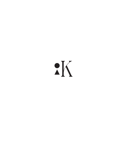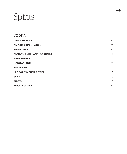| <b>VODKA</b>                      |                 |
|-----------------------------------|-----------------|
| <b>ABSOLUT ELYX</b>               | 12              |
| <b>AMASS COPENHAGEN</b>           | 11              |
| <b>BELVEDERE</b>                  | 12              |
| <b>FAMILY JONES, ANNIKA JONES</b> | 10 <sup>1</sup> |
| <b>GREY GOOSE</b>                 | 11              |
| <b>HANGAR ONE</b>                 | 11              |
| <b>KETEL ONE</b>                  | 11              |
| <b>LEOPOLD'S SILVER TREE</b>      | 10              |
| <b>SKYY</b>                       | 9               |
| <b>TITO'S</b>                     | 10              |
| <b>WOODY CREEK</b>                | 12              |

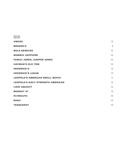| GIN                                     |    |
|-----------------------------------------|----|
| <b>AMASS</b>                            | 13 |
| <b>BROKER'S</b>                         | 9  |
| <b>BOLS GENEVER</b>                     | 10 |
| <b>BOMBAY SAPPHIRE</b>                  | 10 |
| <b>FAMILY JONES, JUNIPER JONES</b>      | 10 |
| <b>HAYMAN'S OLD TOM</b>                 | 10 |
| <b>HENDRICK'S</b>                       | 12 |
| <b>HENDRICK'S LUNAR</b>                 | 13 |
| <b>LEOPOLD'S AMERICAN SMALL BATCH</b>   | 11 |
| <b>LEOPOLD'S NAVY STRENGTH AMERICAN</b> | 12 |
| <b>LINIE AQUAVIT</b>                    | 10 |
| <b>MONKEY 47</b>                        | 15 |
| <b>PLYMOUTH</b>                         | 10 |
| <b>ROKU</b>                             | 10 |
| <b>TANQUERAY</b>                        | 10 |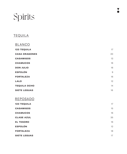### TEQUILA

| <b>BLANCO</b>        |    |
|----------------------|----|
| <b>123 TEQUILA</b>   | 17 |
| <b>CASA DRAGONES</b> | 20 |
| <b>CASAMIGOS</b>     | 13 |
| <b>CHAMUCOS</b>      | 16 |
| <b>DON JULIO</b>     | 16 |
| <b>ESPOLÓN</b>       | 9  |
| <b>FORTALEZA</b>     | 16 |
| <b>LALO</b>          | 12 |
| <b>TEQUILA OCHO</b>  | 14 |
| <b>SIETE LEGUAS</b>  | 16 |
|                      |    |
| REPOSADO             |    |
| <b>123 TEQUILA</b>   | 17 |
| <b>CASAMIGOS</b>     | 15 |

 $\overline{\phantom{a}}$ 

|                   | ___ |
|-------------------|-----|
| <b>CHAMUCOS</b>   | 16  |
| <b>CLASE AZUL</b> | 35  |
| <b>EL TESORO</b>  | 16  |

| <b>ESPOLÓN</b>      | 12 |
|---------------------|----|
| <b>FORTALEZA</b>    | 18 |
| <b>SIETE LEGUAS</b> | 17 |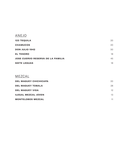| ANEJO                                    |    |
|------------------------------------------|----|
| <b>123 TEQUILA</b>                       | 20 |
| <b>CHAMUCOS</b>                          | 20 |
| <b>DON JULIO 1942</b>                    | 30 |
| <b>EL TESORO</b>                         | 18 |
| <b>JOSE CUERVO RESERVA DE LA FAMILIA</b> | 45 |
| <b>SIETE LEGUAS</b>                      | 18 |

### MEZCAL

| <b>DEL MAGUEY CHICHICAPA</b> | 20              |
|------------------------------|-----------------|
| <b>DEL MAGUEY TOBALA</b>     | 28              |
| <b>DEL MAGUEY VIDA</b>       | 12 <sup>°</sup> |
| <b>ILEGAL MEZCAL JOVEN</b>   | 13              |
| <b>MONTELOBOS MEZCAL</b>     | 11              |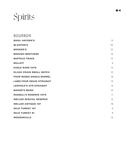### BOURBON

| <b>BASIL HAYDEN'S</b>           | 13 |
|---------------------------------|----|
| <b>BLANTON'S</b>                | 20 |
| <b>BOOKER'S</b>                 | 24 |
| <b>BROUGH BROTHERS</b>          | 10 |
| <b>BUFFALO TRACE</b>            | 10 |
| <b>BULLEIT</b>                  | 9  |
| <b>EAGLE RARE 10YR</b>          | 12 |
| <b>ELIJAH CRAIG SMALL BATCH</b> | 10 |
| <b>FOUR ROSES SINGLE BARREL</b> | 18 |
| <b>LAWS FOUR GRAIN STRAIGHT</b> | 15 |
| <b>LEOPOLD'S 4YR STRAIGHT</b>   | 14 |
| <b>MAKER'S MARK</b>             | 10 |
| <b>RUSSELL'S RESERVE 10YR</b>   | 11 |
| <b>WELLER SPECIAL RESERVE</b>   | 14 |
| <b>WELLER ANTIQUE 107</b>       | 18 |
| <b>WILD TURKEY 101</b>          | 9  |
| <b>WILD TURKEY 81</b>           | 9  |
| <b>WOODINVILLE</b>              | 15 |

 $\blacktriangleright$  4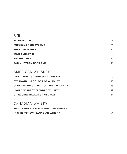|--|--|--|--|

| <b>RITTENHOUSE</b>           | 9  |
|------------------------------|----|
| <b>RUSSELL'S RESERVE 6YR</b> | 11 |
| <b>WHISTLEPIG 10YR</b>       | 22 |
| <b>WILD TURKEY 101</b>       | 9  |
| <b>SAZERAC 6YR</b>           | 14 |
| <b>BASIL HAYDEN DARK RYE</b> | 14 |

### AMERICAN WHISKEY

| <b>JACK DANIEL'S TENNESSEE WHISKEY</b> |    |
|----------------------------------------|----|
| <b>STRANAHAN'S COLORADO WHISKEY</b>    | 15 |
| UNCLE NEAREST PREMIUM AGED WHISKEY     | 16 |
| UNCLE NEAREST BLENDED WHISKEY          | 12 |
| <b>ST. GEORGE BALLER SINGLE MALT</b>   | 14 |
|                                        |    |

### CANADIAN WHISKY

| <b>PENDLETON BLENDED CANADIAN WHISKY</b> |  |
|------------------------------------------|--|
| <b>JP WISER'S 18YR CANADIAN WHISKY</b>   |  |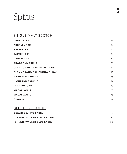### SINGLE MALT SCOTCH

| <b>ABERLOUR 12</b>                  | 18 |
|-------------------------------------|----|
| <b>ABERLOUR 16</b>                  | 22 |
| <b>BALVENIE 12</b>                  | 20 |
| <b>BALVENIE 14</b>                  | 22 |
| <b>CAOL ILA 12</b>                  | 25 |
| <b>CRAGGANMORE 12</b>               | 24 |
| <b>GLENMORANGIE 12 NECTAR D'OR</b>  | 22 |
| <b>GLENMORANGIE 12 QUINTA RUBAN</b> | 18 |
| <b>HIGHLAND PARK 12</b>             | 16 |
| <b>HIGHLAND PARK 18</b>             | 34 |
| <b>LAPHROAIG 10</b>                 | 20 |
| <b>MACALLAN 12</b>                  | 25 |
| <b>MACALLAN 18</b>                  | 75 |
| <b>OBAN 14</b>                      | 24 |

### BLENDED SCOTCH

| <b>DEWAR'S WHITE LABEL</b>        |    |
|-----------------------------------|----|
| <b>JOHNNIE WALKER BLACK LABEL</b> |    |
| <b>JOHNNIE WALKER BLUE LABEL</b>  | 50 |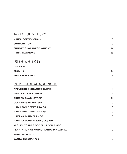### JAPANESE WHISKY

| <b>NIKKA COFFEY GRAIN</b>       | 20              |
|---------------------------------|-----------------|
| <b>SUNTORY TOKI</b>             | 10 <sup>1</sup> |
| <b>SUNDAY'S JAPANESE WHISKY</b> | 14              |
| <b>HIBIKI HARMONY</b>           | 25              |

### IRISH WHISKEY

| <b>JAMESON</b>       | 10 <sup>°</sup> |
|----------------------|-----------------|
| <b>TEELING</b>       | 12              |
| <b>TULLAMORE DEW</b> | 9               |

### RUM, CACHACA, & PISCO

| <b>APPLETON SIGNATURE BLEND</b>             | 9  |
|---------------------------------------------|----|
| <b>AVUA CACHACA PRATA</b>                   | 9  |
| <b>CRUZAN BLACKSTRAP</b>                    | 12 |
| <b>GOSLING'S BLACK SEAL</b>                 | 9  |
| <b>HAMILTON DEMERARA 86</b>                 | 9  |
| <b>HAMILTON DEMERARA 151</b>                | 9  |
| <b>HAVANA CLUB BLANCO</b>                   | 9  |
| <b>HAVANA CLUB ANEJO CLASICO</b>            | 11 |
| <b>MIGUEL TORRES GOBERNADOR PISCO</b>       | 11 |
| <b>PLANTATION STIGGINS' FANCY PINEAPPLE</b> | 10 |
| <b>RHUM JM WHITE</b>                        | 11 |
| <b>SANTA TERESA 1796</b>                    | 10 |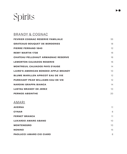### BRANDY & COGNAC

| <b>FEVRIER COGNAC RESERVE FAMILIALE</b>     | 35 |
|---------------------------------------------|----|
| <b>GRATEAUD BOUQUET DE BORDERIES</b>        | 18 |
| <b>PIERRE FERRAND 1840</b>                  | 12 |
| <b>REMY MARTIN 1738</b>                     | 16 |
| <b>CHATEAU PELLEHAUT ARMAGNAC RESERVE</b>   | 16 |
| <b>LEMORTON CALVADOS RESERVE</b>            | 16 |
| <b>MONTREUIL CALVADOS PAYS D'AUGE</b>       | 14 |
| <b>LAIRD'S AMERICAN BONDED APPLE BRANDY</b> | 10 |
| <b>BLUME MARILLEN APRICOT EAU DE VIE</b>    | 12 |
| PURKHART PEAR WILLIAMS EAU DE VIE           | 12 |
| <b>NARDINI GRAPPA BIANCA</b>                | 14 |
| <b>LUSTAU BRANDY DE JEREZ</b>               | 10 |
| <b>PERNOD ABSINTHE</b>                      | 20 |

### AMARI

| <b>AVERNA</b>                   | 11              |
|---------------------------------|-----------------|
| <b>CYNAR</b>                    | 8               |
| <b>FERNET BRANCA</b>            | 11              |
| <b>LUXARDO AMARO ABANO</b>      | 10 <sup>°</sup> |
| <b>MONTENEGRO</b>               | 10 <sup>°</sup> |
| <b>NONINO</b>                   | 15              |
| <b>PAOLUCCI AMARO CIO CIARO</b> | 8               |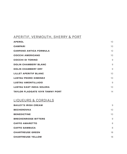### APERITIF, VERMOUTH, SHERRY & PORT

| <b>APEROL</b>                          | 10 |
|----------------------------------------|----|
| <b>CAMPARI</b>                         | 10 |
| <b>CARPANO ANTICA FORMULA</b>          | 12 |
| <b>COCCHI AMERICANO</b>                | 10 |
| <b>COCCHI DI TORINO</b>                | 9  |
| <b>DOLIN CHAMBERY BLANC</b>            | 9  |
| <b>DOLIN CHAMBERY DRY</b>              | 9  |
| LILLET APERITIF BLANC                  | 10 |
| <b>LUSTAU PEDRO XIMENEZ</b>            | 10 |
| <b>LUSTAU AMONTILLADO</b>              | 9  |
| <b>LUSTAU EAST INDIA SOLERA</b>        | 10 |
| <b>TAYLOR FLADGATE 10YR TAWNY PORT</b> | 14 |

### LIQUEURS & CORDIALS

| <b>BAILEY'S IRISH CREAM</b> | 9               |
|-----------------------------|-----------------|
| <b>BECHEROVKA</b>           | 10 <sup>°</sup> |
| <b>BENEDICTINE</b>          | 10 <sup>°</sup> |
| <b>BRECKENRIDGE BITTERS</b> | 9               |
| <b>CAFFO AMARETTO</b>       | 8               |
| <b>CAFFO SAMBUCA</b>        | 8               |
| <b>CHARTREUSE GREEN</b>     | 18              |
| <b>CHARTREUSE YELLOW</b>    | 18              |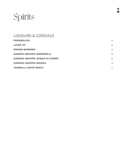### LIQUEURS & CORDIALS

| <b>FRANGELICO</b>                    | 10                |
|--------------------------------------|-------------------|
| <b>LICOR 43</b>                      | 10                |
| <b>GRAND MARNIER</b>                 | $12 \overline{ }$ |
| <b>NARDINI GRAPPA MANDORLA</b>       | 12                |
| <b>NARDINI GRAPPA ACQUA DI CEDRO</b> | 12                |
| <b>NARDINI GRAPPA BIANCA</b>         | 14                |
| <b>VARNELLI CAFFE MOKA</b>           | 11                |

 $\overline{\phantom{a}}$